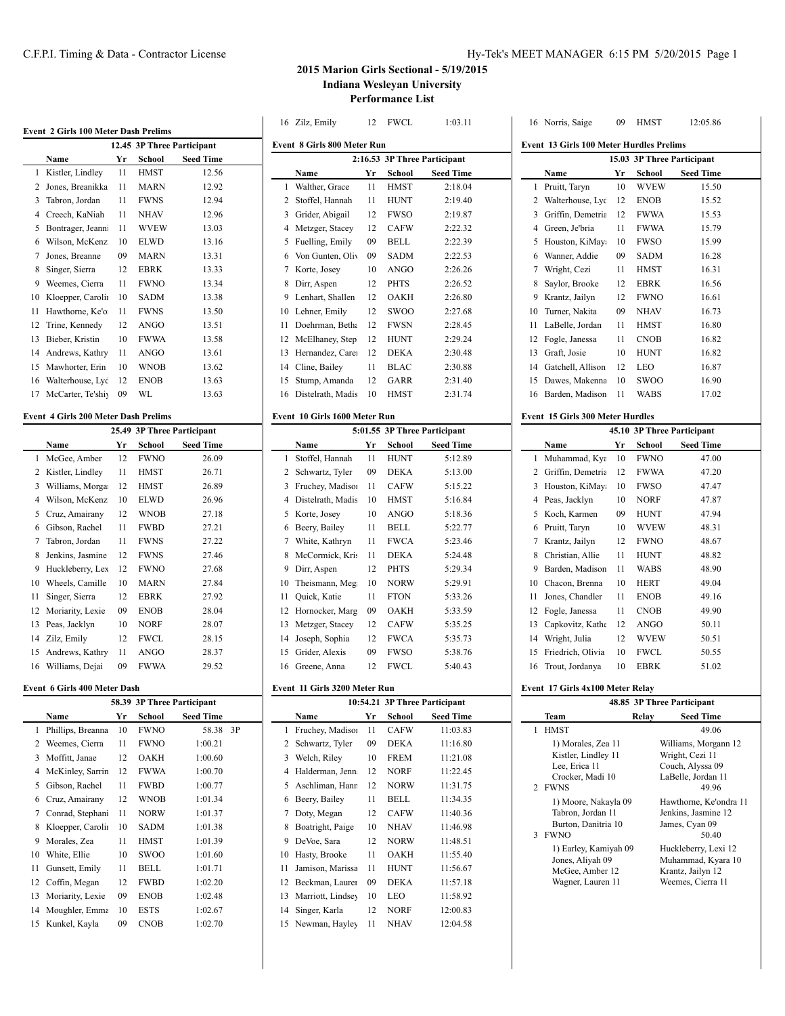# C.F.P.I. Timing & Data - Contractor License Hy-Tek's MEET MANAGER 6:15 PM 5/20/2015 Page 1

# **2015 Marion Girls Sectional - 5/19/2015 Indiana Wesleyan University Performance List**

|    |                                             |    |             |                            |    | 16 Zilz, Emily                     | 12  | <b>FWCL</b> | 1:03.11                       |              | 16 Norris, Saige                                | 09 | <b>HMST</b> | 12:05.86                                   |
|----|---------------------------------------------|----|-------------|----------------------------|----|------------------------------------|-----|-------------|-------------------------------|--------------|-------------------------------------------------|----|-------------|--------------------------------------------|
|    | Event 2 Girls 100 Meter Dash Prelims        |    |             | 12.45 3P Three Participant |    | <b>Event 8 Girls 800 Meter Run</b> |     |             |                               |              | <b>Event 13 Girls 100 Meter Hurdles Prelims</b> |    |             |                                            |
|    | Name                                        | Yr | School      | <b>Seed Time</b>           |    |                                    |     |             | 2:16.53 3P Three Participant  |              |                                                 |    |             | 15.03 3P Three Participant                 |
|    | 1 Kistler, Lindley                          | 11 | <b>HMST</b> | 12.56                      |    | Name                               | Yr  | School      | <b>Seed Time</b>              |              | Name                                            | Yr | School      | <b>Seed Time</b>                           |
|    | 2 Jones, Breanikka                          | 11 | <b>MARN</b> | 12.92                      |    | 1 Walther, Grace                   | 11  | <b>HMST</b> | 2:18.04                       | $\mathbf{1}$ | Pruitt, Taryn                                   | 10 | <b>WVEW</b> | 15.50                                      |
| 3  | Tabron, Jordan                              | 11 | <b>FWNS</b> | 12.94                      |    | 2 Stoffel, Hannah                  | 11  | <b>HUNT</b> | 2:19.40                       |              | 2 Walterhouse, Lyc                              | 12 | <b>ENOB</b> | 15.52                                      |
| 4  | Creech, KaNiah                              | 11 | <b>NHAV</b> | 12.96                      |    | 3 Grider, Abigail                  | 12  | <b>FWSO</b> | 2:19.87                       |              | 3 Griffin, Demetria                             | 12 | <b>FWWA</b> | 15.53                                      |
|    | 5 Bontrager, Jeann                          | 11 | <b>WVEW</b> | 13.03                      |    | 4 Metzger, Stacey                  | 12  | <b>CAFW</b> | 2:22.32                       |              | 4 Green, Je'bria                                | 11 | <b>FWWA</b> | 15.79                                      |
| 6  | Wilson, McKenz                              | 10 | <b>ELWD</b> | 13.16                      |    | 5 Fuelling, Emily                  | 09  | <b>BELL</b> | 2:22.39                       |              | 5 Houston, KiMaya                               | 10 | <b>FWSO</b> | 15.99                                      |
| 7  | Jones, Breanne                              | 09 | <b>MARN</b> | 13.31                      | 6  | Von Gunten, Oliv                   | 09  | <b>SADM</b> | 2:22.53                       | 6            | Wanner, Addie                                   | 09 | <b>SADM</b> | 16.28                                      |
| 8  | Singer, Sierra                              | 12 | <b>EBRK</b> | 13.33                      |    | 7 Korte, Josey                     | 10  | <b>ANGO</b> | 2:26.26                       | 7            | Wright, Cezi                                    | 11 | <b>HMST</b> | 16.31                                      |
|    | 9 Weemes, Cierra                            | 11 | <b>FWNO</b> | 13.34                      |    | 8 Dirr, Aspen                      | 12  | <b>PHTS</b> | 2:26.52                       | 8            | Saylor, Brooke                                  | 12 | <b>EBRK</b> | 16.56                                      |
|    | 10 Kloepper, Carolin                        | 10 | <b>SADM</b> | 13.38                      |    | 9 Lenhart, Shallen                 | 12  | <b>OAKH</b> | 2:26.80                       |              | 9 Krantz, Jailyn                                | 12 | <b>FWNO</b> | 16.61                                      |
|    | 11 Hawthorne, Ke'o                          | 11 | <b>FWNS</b> | 13.50                      |    | 10 Lehner, Emily                   | 12  | <b>SWOO</b> | 2:27.68                       | 10           | Turner, Nakita                                  | 09 | <b>NHAV</b> | 16.73                                      |
| 12 | Trine, Kennedy                              | 12 | <b>ANGO</b> | 13.51                      |    | 11 Doehrman, Betha                 | 12  | <b>FWSN</b> | 2:28.45                       | 11           | LaBelle, Jordan                                 | 11 | <b>HMST</b> | 16.80                                      |
| 13 | Bieber, Kristin                             | 10 | <b>FWWA</b> | 13.58                      |    | 12 McElhaney, Step                 | 12  | <b>HUNT</b> | 2:29.24                       | 12           | Fogle, Janessa                                  | 11 | <b>CNOB</b> | 16.82                                      |
| 14 | Andrews, Kathry                             | 11 | <b>ANGO</b> | 13.61                      |    | 13 Hernandez, Care                 | 12  | <b>DEKA</b> | 2:30.48                       | 13           | Graft, Josie                                    | 10 | <b>HUNT</b> | 16.82                                      |
|    | 15 Mawhorter, Erin                          | 10 | <b>WNOB</b> | 13.62                      |    | 14 Cline, Bailey                   | 11  | <b>BLAC</b> | 2:30.88                       | 14           | Gatchell, Allison                               | 12 | LEO         | 16.87                                      |
| 16 | Walterhouse, Lyc                            | 12 | <b>ENOB</b> | 13.63                      |    | 15 Stump, Amanda                   | 12  | GARR        | 2:31.40                       | 15           | Dawes, Makenna                                  | 10 | SWOO        | 16.90                                      |
|    | 17 McCarter, Te'shiy                        | 09 | WL          | 13.63                      |    | 16 Distelrath, Madis               | 10  | <b>HMST</b> | 2:31.74                       | 16           | Barden, Madison                                 | 11 | <b>WABS</b> | 17.02                                      |
|    |                                             |    |             |                            |    |                                    |     |             |                               |              |                                                 |    |             |                                            |
|    | <b>Event 4 Girls 200 Meter Dash Prelims</b> |    |             |                            |    | Event 10 Girls 1600 Meter Run      |     |             |                               |              | Event 15 Girls 300 Meter Hurdles                |    |             |                                            |
|    |                                             |    |             | 25.49 3P Three Participant |    |                                    |     |             | 5:01.55 3P Three Participant  |              |                                                 |    |             | 45.10 3P Three Participant                 |
|    | Name                                        | Yr | School      | <b>Seed Time</b>           |    | Name                               | Yr  | School      | <b>Seed Time</b>              |              | Name                                            | Yr | School      | <b>Seed Time</b>                           |
|    | 1 McGee, Amber                              | 12 | <b>FWNO</b> | 26.09                      |    | 1 Stoffel, Hannah                  | 11  | <b>HUNT</b> | 5:12.89                       |              | Muhammad, Kya                                   | 10 | <b>FWNO</b> | 47.00                                      |
|    | 2 Kistler, Lindley                          | 11 | <b>HMST</b> | 26.71                      |    | 2 Schwartz, Tyler                  | 09  | <b>DEKA</b> | 5:13.00                       |              | 2 Griffin, Demetria                             | 12 | <b>FWWA</b> | 47.20                                      |
| 3  | Williams, Morga                             | 12 | <b>HMST</b> | 26.89                      |    | 3 Fruchey, Madison                 | 11  | <b>CAFW</b> | 5:15.22                       | 3            | Houston, KiMay:                                 | 10 | <b>FWSO</b> | 47.47                                      |
| 4  | Wilson, McKenz                              | 10 | <b>ELWD</b> | 26.96                      |    | 4 Distelrath, Madis                | 10  | <b>HMST</b> | 5:16.84                       | 4            | Peas, Jacklyn                                   | 10 | <b>NORF</b> | 47.87                                      |
|    | 5 Cruz, Amairany                            | 12 | <b>WNOB</b> | 27.18                      |    | 5 Korte, Josey                     | 10  | <b>ANGO</b> | 5:18.36                       |              | 5 Koch, Karmen                                  | 09 | <b>HUNT</b> | 47.94                                      |
| 6  | Gibson, Rachel                              | 11 | <b>FWBD</b> | 27.21                      |    | 6 Beery, Bailey                    | 11  | <b>BELL</b> | 5:22.77                       |              | 6 Pruitt, Taryn                                 | 10 | <b>WVEW</b> | 48.31                                      |
| 7  | Tabron, Jordan                              | 11 | <b>FWNS</b> | 27.22                      |    | 7 White, Kathryn                   | 11  | <b>FWCA</b> | 5:23.46                       |              | 7 Krantz, Jailyn                                | 12 | <b>FWNO</b> | 48.67                                      |
| 8  | Jenkins, Jasmine                            | 12 | <b>FWNS</b> | 27.46                      |    | 8 McCormick, Kris                  | -11 | <b>DEKA</b> | 5:24.48                       | 8            | Christian, Allie                                | 11 | <b>HUNT</b> | 48.82                                      |
| 9  | Huckleberry, Lex                            | 12 | <b>FWNO</b> | 27.68                      |    | 9 Dirr, Aspen                      | 12  | <b>PHTS</b> | 5:29.34                       | 9            | Barden, Madison                                 | 11 | <b>WABS</b> | 48.90                                      |
|    | 10 Wheels, Camille                          | 10 | <b>MARN</b> | 27.84                      |    | 10 Theismann, Meg                  | 10  | <b>NORW</b> | 5:29.91                       | 10           | Chacon, Brenna                                  | 10 | <b>HERT</b> | 49.04                                      |
|    | 11 Singer, Sierra                           | 12 | <b>EBRK</b> | 27.92                      |    | 11 Quick, Katie                    | 11  | <b>FTON</b> | 5:33.26                       | 11           | Jones, Chandler                                 | 11 | <b>ENOB</b> | 49.16                                      |
|    | 12 Moriarity, Lexie                         | 09 | <b>ENOB</b> | 28.04                      |    | 12 Hornocker, Marg                 | 09  | <b>OAKH</b> | 5:33.59                       | 12           | Fogle, Janessa                                  | 11 | <b>CNOB</b> | 49.90                                      |
| 13 | Peas, Jacklyn                               | 10 | <b>NORF</b> | 28.07                      |    | 13 Metzger, Stacey                 | 12  | <b>CAFW</b> | 5:35.25                       | 13           | Capkovitz, Kathe                                | 12 | <b>ANGO</b> | 50.11                                      |
| 14 | Zilz, Emily                                 | 12 | <b>FWCL</b> | 28.15                      | 14 | Joseph, Sophia                     | 12  | <b>FWCA</b> | 5:35.73                       | 14           | Wright, Julia                                   | 12 | <b>WVEW</b> | 50.51                                      |
|    | 15 Andrews, Kathry                          | 11 | <b>ANGO</b> | 28.37                      |    | 15 Grider, Alexis                  | 09  | <b>FWSO</b> | 5:38.76                       | 15           | Friedrich, Olivia                               | 10 | <b>FWCL</b> | 50.55                                      |
|    | 16 Williams, Dejai                          | 09 | <b>FWWA</b> | 29.52                      |    | 16 Greene, Anna                    | 12  | <b>FWCL</b> | 5:40.43                       | 16           | Trout, Jordanya                                 | 10 | <b>EBRK</b> | 51.02                                      |
|    |                                             |    |             |                            |    |                                    |     |             |                               |              |                                                 |    |             |                                            |
|    | Event 6 Girls 400 Meter Dash                |    |             |                            |    | Event 11 Girls 3200 Meter Run      |     |             |                               |              | Event 17 Girls 4x100 Meter Relay                |    |             |                                            |
|    |                                             |    |             | 58.39 3P Three Participant |    |                                    |     |             | 10:54.21 3P Three Participant |              |                                                 |    |             | 48.85 3P Three Participant                 |
|    | Name                                        | Yr | School      | <b>Seed Time</b>           |    | Name                               | Yr  | School      | Seed Time                     |              | Team                                            |    | Relay       | <b>Seed Time</b>                           |
|    | 1 Phillips, Breanna                         | 10 | <b>FWNO</b> | 58.38 3P                   |    | 1 Fruchey, Madison                 | 11  | <b>CAFW</b> | 11:03.83                      |              | 1 HMST                                          |    |             | 49.06                                      |
|    | 2 Weemes, Cierra                            | 11 | <b>FWNO</b> | 1:00.21                    |    | 2 Schwartz, Tyler                  | 09  | DEKA        | 11:16.80                      |              | 1) Morales, Zea 11                              |    |             | Williams, Morgann 12                       |
|    | 3 Moffitt, Janae                            | 12 | <b>OAKH</b> | 1:00.60                    |    | 3 Welch, Riley                     | 10  | <b>FREM</b> | 11:21.08                      |              | Kistler, Lindley 11<br>Lee, Erica 11            |    |             | Wright, Cezi 11<br>Couch, Alyssa 09        |
| 4  | McKinley, Sarrin                            | 12 | <b>FWWA</b> | 1:00.70                    |    | 4 Halderman, Jenn                  | 12  | <b>NORF</b> | 11:22.45                      |              | Crocker, Madi 10                                |    |             | LaBelle, Jordan 11                         |
|    | 5 Gibson, Rachel                            | 11 | <b>FWBD</b> | 1:00.77                    |    | 5 Aschliman, Hann                  | 12  | <b>NORW</b> | 11:31.75                      |              | 2 FWNS                                          |    |             | 49.96                                      |
|    | 6 Cruz, Amairany                            | 12 | <b>WNOB</b> | 1:01.34                    |    | 6 Beery, Bailey                    | 11  | BELL        | 11:34.35                      |              | 1) Moore, Nakayla 09                            |    |             | Hawthorne, Ke'ondra 11                     |
|    | 7 Conrad, Stephani                          | 11 | <b>NORW</b> | 1:01.37                    |    | 7 Doty, Megan                      | 12  | <b>CAFW</b> | 11:40.36                      |              | Tabron, Jordan 11                               |    |             | Jenkins, Jasmine 12                        |
|    | 8 Kloepper, Carolin                         | 10 | <b>SADM</b> | 1:01.38                    |    | 8 Boatright, Paige                 | 10  | <b>NHAV</b> | 11:46.98                      |              | Burton, Danitria 10                             |    |             | James, Cyan 09                             |
|    | 9 Morales, Zea                              | 11 | <b>HMST</b> | 1:01.39                    |    | 9 DeVoe, Sara                      | 12  | <b>NORW</b> | 11:48.51                      |              | 3 FWNO                                          |    |             | 50.40                                      |
| 10 | White, Ellie                                | 10 | <b>SWOO</b> | 1:01.60                    |    | 10 Hasty, Brooke                   | 11  | OAKH        | 11:55.40                      |              | 1) Earley, Kamiyah 09<br>Jones, Aliyah 09       |    |             | Huckleberry, Lexi 12<br>Muhammad, Kyara 10 |
|    | 11 Gunsett, Emily                           | 11 | <b>BELL</b> | 1:01.71                    |    | 11 Jamison, Marissa                | 11  | <b>HUNT</b> | 11:56.67                      |              | McGee, Amber 12                                 |    |             | Krantz, Jailyn 12                          |
|    | 12 Coffin, Megan                            | 12 | <b>FWBD</b> | 1:02.20                    |    | 12 Beckman, Laurer                 | 09  | <b>DEKA</b> | 11:57.18                      |              | Wagner, Lauren 11                               |    |             | Weemes, Cierra 11                          |
|    | 13 Moriarity, Lexie                         | 09 | <b>ENOB</b> | 1:02.48                    |    | 13 Marriott, Lindsey               | 10  | LEO         | 11:58.92                      |              |                                                 |    |             |                                            |
| 14 | Moughler, Emma                              | 10 | <b>ESTS</b> | 1:02.67                    |    | 14 Singer, Karla                   | 12  | <b>NORF</b> | 12:00.83                      |              |                                                 |    |             |                                            |
|    | 15 Kunkel, Kayla                            | 09 | <b>CNOB</b> | 1:02.70                    |    | 15 Newman, Hayley                  | 11  | <b>NHAV</b> | 12:04.58                      |              |                                                 |    |             |                                            |
|    |                                             |    |             |                            |    |                                    |     |             |                               |              |                                                 |    |             |                                            |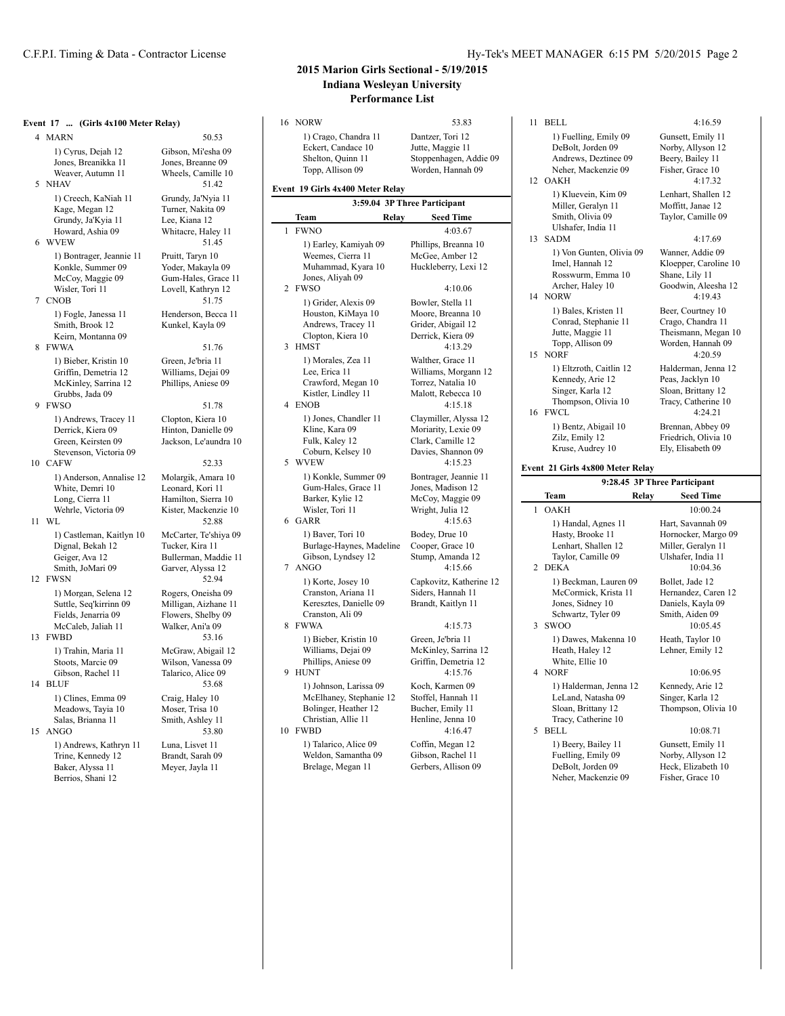5 NHAV

### C.F.P.I. Timing & Data - Contractor License The Hy-Tek's MEET MANAGER 6:15 PM 5/20/2015 Page 2

# **2015 Marion Girls Sectional - 5/19/2015 Indiana Wesleyan University Performance List**

**3:59.04 3P Three Participant**

**Team Relay Seed Time** 1 FWNO 4:03.67

**Event 17 ... (Girls 4x100 Meter Relay)** 4 MARN 50.53 1) Cyrus, Dejah 12 Gibson, Mi'esha 09<br>Jones, Breanikka 11 Jones, Breanne 09 Jones, Breanikka 11 Weaver, Autumn 11 Wheels, Camille 10<br>HAV 51.42 1) Creech, KaNiah 11 Grundy, Ja'Nyia 11<br>Kage, Megan 12 Turner, Nakita 09 Turner, Nakita 09 Grundy, Ja'Kyia 11 Lee, Kiana 12<br>Howard, Ashia 09 Whitacre, Hale Whitacre, Haley 11 6 WVEW 51.45 1) Bontrager, Jeannie 11 Pruitt, Taryn 10<br>Konkle, Summer 09 Yoder, Makayla 09 Konkle, Summer 09 McCoy, Maggie 09 Gum-Hales, Grace 11 Wisler, Tori 11 Lovell, Kathryn 12 7 CNOB 51.75 1) Fogle, Janessa 11 Henderson, Becca 11<br>
Smith, Brook 12 Kunkel, Kayla 09 Kunkel, Kayla 09 Keirn, Montanna 09 8 FWWA 51.76 1) Bieber, Kristin 10 Green, Je'bria 11<br>Griffin, Demetria 12 Williams, Dejai 09 Griffin, Demetria 12 McKinley, Sarrina 12 Phillips, Aniese 09 Grubbs, Jada 09 9 FWSO 51.78 1) Andrews, Tracey 11 Clopton, Kiera 10<br>Derrick, Kiera 09 Hinton, Danielle 0 Derrick, Kiera 09 Hinton, Danielle 09<br>Green. Keirsten 09 Jackson. Le'aundra Jackson, Le'aundra 10 Stevenson, Victoria 09 10 CAFW 52.33 1) Anderson, Annalise 12 Molargik, Amara 10<br>White, Demri 10 Leonard, Kori 11 White, Demri 10 Long, Cierra 11 Hamilton, Sierra 10 Wehrle, Victoria 09 Kister, Mackenzie 10<br>11 WL 52.88 1) Castleman, Kaitlyn 10 McCarter, Te'shiya 09<br>Dignal, Bekah 12 Tucker, Kira 11 Dignal, Bekah 12<br>Geiger, Ava 12 Bullerman, Maddie 11 Smith, JoMari 09 Garver, Alyssa 12 12 FWSN 52.94 1) Morgan, Selena 12 Rogers, Oneisha 09<br>Suttle, Seq'kirrinn 09 Milligan, Aizhane 11 Suttle, Seq'kirrinn 09 Fields, Jenarria 09 Flowers, Shelby 09<br>McCaleb, Jaliah 11 Walker, Ani'a 09 McCaleb, Jaliah 11 13 FWBD 53.16 1) Trahin, Maria 11 McGraw, Abigail 12<br>Stoots Marcie 09 Wilson Vanessa 09 Wilson, Vanessa 09 Gibson, Rachel 11 Talarico, Alice 09 14 BLUF 53.68 1) Clines, Emma 09 Craig, Haley 10 Meadows, Tayia 10 Moser, Trisa 10 Salas, Brianna 11 Smith, Ashley 11 15 ANGO 53.80 1) Andrews, Kathryn 11 Luna, Lisvet 11<br>Trine, Kennedy 12 Brandt, Sarah 09 Trine, Kennedy 12 Baker, Alyssa 11 Meyer, Jayla 11 Berrios, Shani 12

16 NORW 53.83 1) Crago, Chandra 11 Dantzer, Tori 12 Eckert, Candace 10 Jutte, Maggie 11 Shelton, Quinn 11 Stoppenhagen, Addie 09 Topp, Allison 09 Worden, Hannah 09 **Event 19 Girls 4x400 Meter Relay**

Jones, Aliyah 09

Andrews, Tracey 11

Crawford, Megan 10<br>Kistler, Lindley 11

Gum-Hales, Grace 11

Cranston, Ariana 11

Cranston, Ali 09

Phillips, Aniese 09

McElhaney, Stephanie 12

Weldon, Samantha 09

1) Earley, Kamiyah 09 Phillips, Breanna 10 Weemes, Cierra 11 McGee, Amber 12 Muhammad, Kyara 10 Huckleberry, Lexi 12 2 FWSO 4:10.06 1) Grider, Alexis 09 Bowler, Stella 11 Houston, KiMaya 10 Moore, Breanna 10<br>Andrews, Tracey 11 Grider, Abigail 12 Clopton, Kiera 10 Derrick, Kiera 09 3 HMST 4:13.29 1) Morales, Zea 11 Walther, Grace 11 Lee, Erica 11 Williams, Morgann 12<br>Crawford, Megan 10 Torrez, Natalia 10 Malott, Rebecca 10 4 ENOB 4:15.18 1) Jones, Chandler 11 Claymiller, Alyssa 12<br>Kline, Kara 09 Moriarity, Lexie 09 Moriarity, Lexie 09 Fulk, Kaley 12 Clark, Camille 12<br>Coburn, Kelsey 10 Davies, Shannon ( Davies, Shannon 09 5 WVEW 4:15.23 1) Konkle, Summer 09 Bontrager, Jeannie 11<br>Gum-Hales, Grace 11 Jones, Madison 12 Barker, Kylie 12 McCoy, Maggie 09<br>Wisler, Tori 11 Wright, Julia 12 Wright, Julia 12 6 GARR 4:15.63 1) Baver, Tori 10 Bodey, Drue 10 Burlage-Haynes, Madeline Cooper, Grace 10<br>Gibson, Lyndsey 12 Stump, Amanda 1 Stump, Amanda 12 7 ANGO 4:15.66 1) Korte, Josey 10 Capkovitz, Katherine 12<br>Cranston, Ariana 11 Siders, Hannah 11 Keresztes, Danielle 09 Brandt, Kaitlyn 11 8 FWWA 4:15.73 1) Bieber, Kristin 10 Green, Je'bria 11<br>Williams, Dejai 09 McKinley, Sarrir McKinley, Sarrina 12<br>Griffin Demetria 12 9 HUNT  $4.15.76$ 1) Johnson, Larissa 09 Koch, Karmen 09<br>McElhaney, Stephanie 12 Stoffel, Hannah 11 Bolinger, Heather 12 Bucher, Emily 11<br>Christian, Allie 11 Henline, Jenna 10 Henline, Jenna 10 10 FWBD 4:16.47 1) Talarico, Alice 09 Coffin, Megan 12<br>Weldon, Samantha 09 Gibson, Rachel 11 Brelage, Megan 11 Gerbers, Allison 09

11 BELL 4:16.59 1) Fuelling, Emily 09 Gunsett, Emily 11 DeBolt, Jorden 09 Norby, Allyson 12 Andrews, Deztinee 09 Beery, Bailey 11 Neher, Mackenzie 09 Fisher, Grace 10 12 OAKH 4:17.32 1) Kluevein, Kim 09 Lenhart, Shallen 12 Miller, Geralyn 11 Moffitt, Janae 12 Smith, Olivia 09 Taylor, Camille 09 Ulshafer, India 11 13 SADM 4:17.69 1) Von Gunten, Olivia 09 Wanner, Addie 09 Imel, Hannah 12 Kloepper, Caroline 10<br>Rosswurm, Emma 10 Shane, Lily 11 Rosswurm, Emma 10<br>Archer, Halev 10 Goodwin, Aleesha 12 14 NORW 4:19.43 1) Bales, Kristen 11 Beer, Courtney 10 Conrad, Stephanie 11 Crago, Chandra 11 Theismann, Megan 10 Topp, Allison 09 Worden, Hannah 09 15 NORF 4:20.59 1) Eltzroth, Caitlin 12 Halderman, Jenna 12<br>Kennedy, Arie 12 Peas, Jacklyn 10 Kennedy, Arie 12 Singer, Karla 12 Sloan, Brittany 12 Thompson, Olivia 10 Tracy, Catherine 10 16 FWCL 4:24.21 1) Bentz, Abigail 10 Brennan, Abbey 09<br>
Zilz, Emily 12 Friedrich, Olivia 10 Friedrich, Olivia 10<br>Ely, Elisabeth 09 Kruse, Audrey 10 **Event 21 Girls 4x800 Meter Relay**

|                             |                                                                                                        |       | 2.40.43 II тиге гагистранс                                                                       |
|-----------------------------|--------------------------------------------------------------------------------------------------------|-------|--------------------------------------------------------------------------------------------------|
|                             | Team                                                                                                   | Relay | <b>Seed Time</b>                                                                                 |
| 1                           | <b>OAKH</b>                                                                                            |       | 10:00.24                                                                                         |
| $\mathcal{D}_{\mathcal{A}}$ | 1) Handal, Agnes 11<br>Hasty, Brooke 11<br>Lenhart, Shallen 12<br>Taylor, Camille 09<br>DEK A          |       | Hart, Savannah 09<br>Hornocker, Margo 09<br>Miller, Geralyn 11<br>Ulshafer, India 11<br>10:04.36 |
| 3                           | 1) Beckman, Lauren 09<br>McCormick, Krista 11<br>Jones, Sidney 10<br>Schwartz, Tyler 09<br><b>SWOO</b> |       | Bollet, Jade 12<br>Hernandez, Caren 12<br>Daniels, Kayla 09<br>Smith, Aiden 09<br>10:05.45       |
| 4                           | 1) Dawes, Makenna 10<br>Heath, Haley 12<br>White, Ellie 10<br><b>NORF</b>                              |       | Heath, Taylor 10<br>Lehner, Emily 12<br>10:06.95                                                 |
| 5                           | 1) Halderman, Jenna 12<br>LeLand, Natasha 09<br>Sloan, Brittany 12<br>Tracy, Catherine 10<br>BELL      |       | Kennedy, Arie 12<br>Singer, Karla 12<br>Thompson, Olivia 10<br>10:08.71                          |
|                             | 1) Beerv. Bailey 11<br>Fuelling, Emily 09<br>DeBolt, Jorden 09<br>Neher, Mackenzie 09                  |       | Gunsett, Emily 11<br>Norby, Allyson 12<br>Heck, Elizabeth 10<br>Fisher, Grace 10                 |

**9:28.45 3P Three Participant**